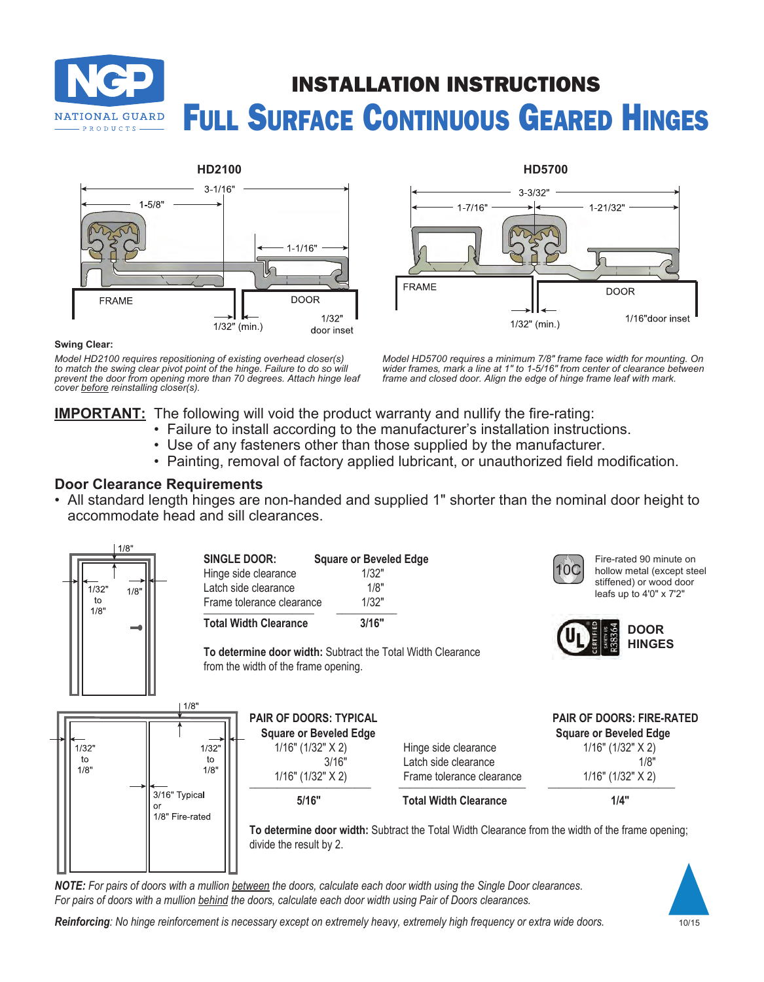





#### **Swing Clear:**

*Model HD2100 requires repositioning of existing overhead closer(s) to match the swing clear pivot point of the hinge. Failure to do so will prevent the door from opening more than 70 degrees. Attach hinge leaf cover before reinstalling closer(s).*

*Model HD5700 requires a minimum 7/8" frame face width for mounting. On wider frames, mark a line at 1" to 1-5/16" from center of clearance between frame and closed door. Align the edge of hinge frame leaf with mark.*

## **IMPORTANT:** The following will void the product warranty and nullify the fire-rating:

- Failure to install according to the manufacturer's installation instructions.
- Use of any fasteners other than those supplied by the manufacturer.
- Painting, removal of factory applied lubricant, or unauthorized field modification.

## **Door Clearance Requirements**

• All standard length hinges are non-handed and supplied 1" shorter than the nominal door height to accommodate head and sill clearances.



*NOTE: For pairs of doors with a mullion between the doors, calculate each door width using the Single Door clearances. For pairs of doors with a mullion behind the doors, calculate each door width using Pair of Doors clearances.*



*Reinforcing: No hinge reinforcement is necessary except on extremely heavy, extremely high frequency or extra wide doors.*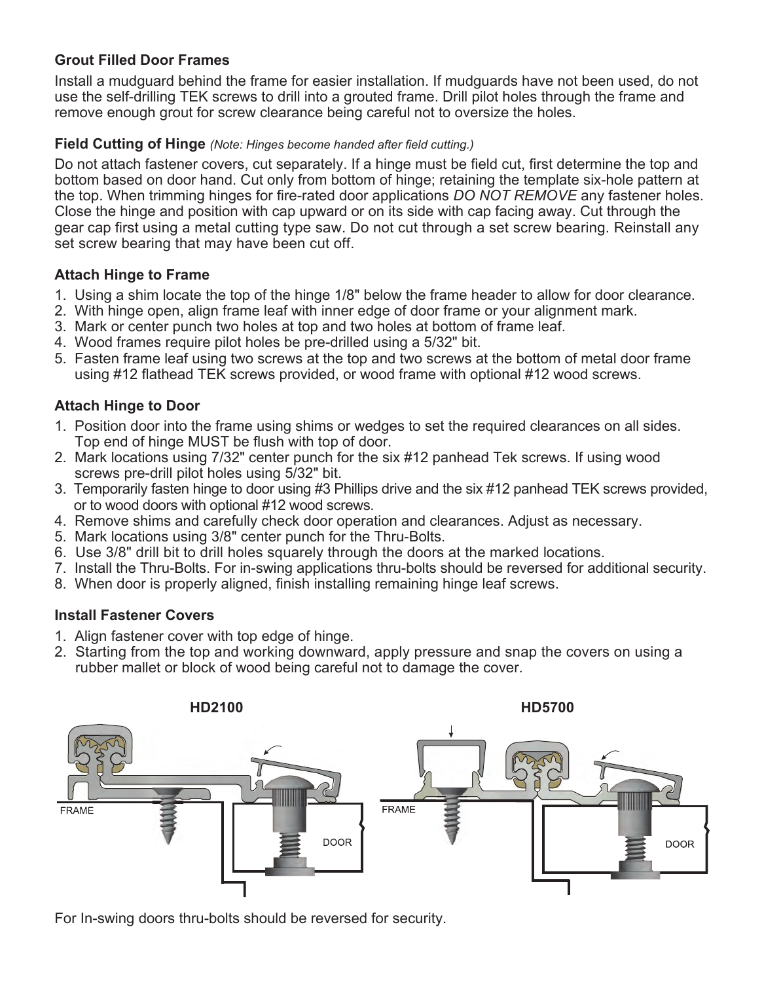# **Grout Filled Door Frames**

Install a mudguard behind the frame for easier installation. If mudguards have not been used, do not use the self-drilling TEK screws to drill into a grouted frame. Drill pilot holes through the frame and remove enough grout for screw clearance being careful not to oversize the holes.

## **Field Cutting of Hinge** *(Note: Hinges become handed after field cutting.)*

Do not attach fastener covers, cut separately. If a hinge must be field cut, first determine the top and bottom based on door hand. Cut only from bottom of hinge; retaining the template six-hole pattern at the top. When trimming hinges for fire-rated door applications *DO NOT REMOVE* any fastener holes. Close the hinge and position with cap upward or on its side with cap facing away. Cut through the gear cap first using a metal cutting type saw. Do not cut through a set screw bearing. Reinstall any set screw bearing that may have been cut off.

# **Attach Hinge to Frame**

- 1. Using a shim locate the top of the hinge 1/8" below the frame header to allow for door clearance.
- 2. With hinge open, align frame leaf with inner edge of door frame or your alignment mark.
- 3. Mark or center punch two holes at top and two holes at bottom of frame leaf.
- 4. Wood frames require pilot holes be pre-drilled using a 5/32" bit.
- 5. Fasten frame leaf using two screws at the top and two screws at the bottom of metal door frame using #12 flathead TEK screws provided, or wood frame with optional #12 wood screws.

# **Attach Hinge to Door**

- 1. Position door into the frame using shims or wedges to set the required clearances on all sides. Top end of hinge MUST be flush with top of door.
- 2. Mark locations using 7/32" center punch for the six #12 panhead Tek screws. If using wood screws pre-drill pilot holes using 5/32" bit.
- 3. Temporarily fasten hinge to door using #3 Phillips drive and the six #12 panhead TEK screws provided, or to wood doors with optional #12 wood screws.
- 4. Remove shims and carefully check door operation and clearances. Adjust as necessary.
- 5. Mark locations using 3/8" center punch for the Thru-Bolts.
- 6. Use 3/8" drill bit to drill holes squarely through the doors at the marked locations.
- 7. Install the Thru-Bolts. For in-swing applications thru-bolts should be reversed for additional security.
- 8. When door is properly aligned, finish installing remaining hinge leaf screws.

# **Install Fastener Covers**

- 1. Align fastener cover with top edge of hinge.
- 2. Starting from the top and working downward, apply pressure and snap the covers on using a rubber mallet or block of wood being careful not to damage the cover.



For In-swing doors thru-bolts should be reversed for security.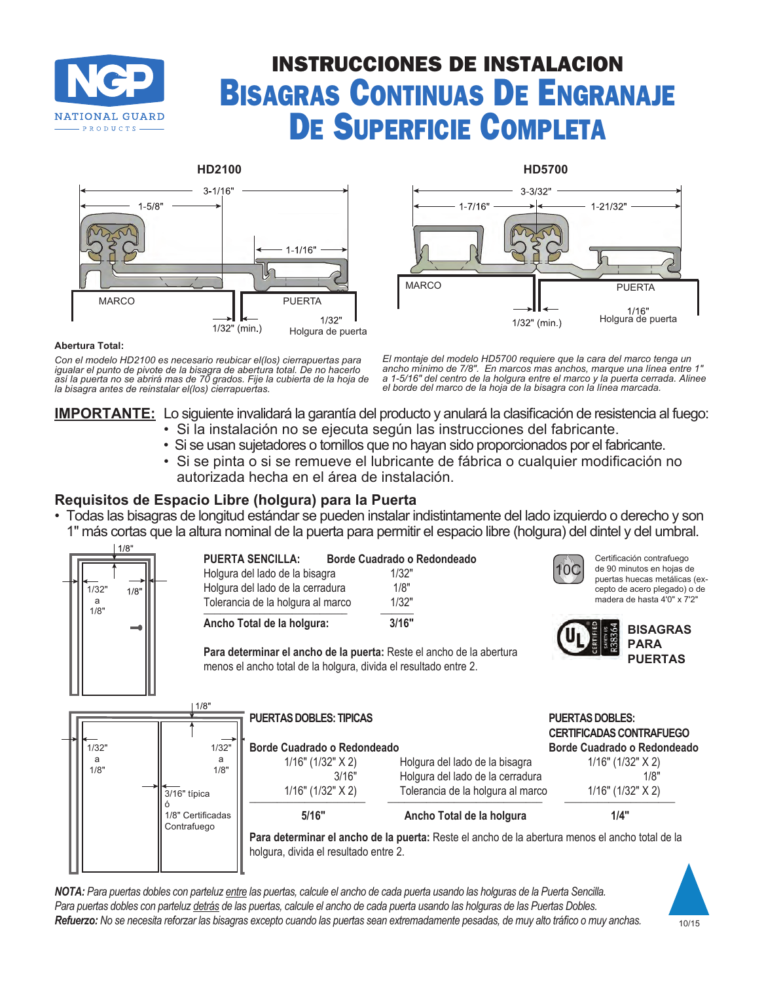

# INSTRUCCIONES DE INSTALACION Bisagras Continuas De Engranaje De Superficie Completa





#### **Abertura Total:**

*Con el modelo HD2100 es necesario reubicar el(los) cierrapuertas para igualar el punto de pivote de la bisagra de abertura total. De no hacerlo así la puerta no se abrirá mas de 70 grados. Fije la cubierta de la hoja de la bisagra antes de reinstalar el(los) cierrapuertas.*

*El montaje del modelo HD5700 requiere que la cara del marco tenga un ancho mínimo de 7/8". En marcos mas anchos, marque una línea entre 1" a 1-5/16" del centro de la holgura entre el marco y la puerta cerrada. Alinee el borde del marco de la hoja de la bisagra con la línea marcada.*

# **IMPORTANTE:** Lo siguiente invalidará la garantía del producto y anulará la clasificación de resistencia al fuego:

- Si la instalación no se ejecuta según las instrucciones del fabricante.
- Si se usan sujetadores o tornillos que no hayan sido proporcionados por el fabricante.
- Si se pinta o si se remueve el lubricante de fábrica o cualquier modificación no autorizada hecha en el área de instalación.

# **Requisitos de Espacio Libre (holgura) para la Puerta**

• Todas las bisagras de longitud estándar se pueden instalar indistintamente del lado izquierdo o derecho y son 1" más cortas que la altura nominal de la puerta para permitir el espacio libre (holgura) del dintel y del umbral.



*NOTA: Para puertas dobles con parteluz entre las puertas, calcule el ancho de cada puerta usando las holguras de la Puerta Sencilla. Para puertas dobles con parteluz detrás de las puertas, calcule el ancho de cada puerta usando las holguras de las Puertas Dobles. Refuerzo: No se necesita reforzar las bisagras excepto cuando las puertas sean extremadamente pesadas, de muy alto tráfico o muy anchas.*